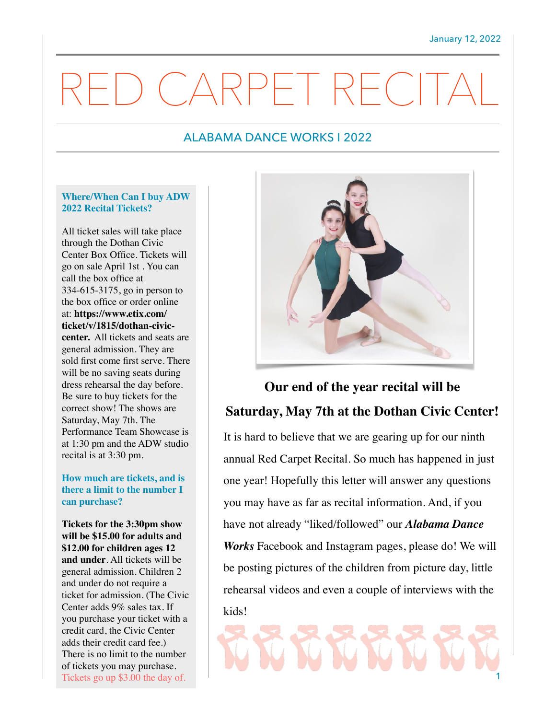# CARPET RECI

### ALABAMA DANCE WORKS I 2022

#### **Where/When Can I buy ADW 2022 Recital Tickets?**

All ticket sales will take place through the Dothan Civic Center Box Office. Tickets will go on sale April 1st . You can call the box office at 334-615-3175, go in person to the box office or order online at: **https://www.etix.com/ ticket/v/1815/dothan-civiccenter.** All tickets and seats are general admission. They are sold first come first serve. There will be no saving seats during dress rehearsal the day before. Be sure to buy tickets for the correct show! The shows are Saturday, May 7th. The Performance Team Showcase is at 1:30 pm and the ADW studio recital is at 3:30 pm.

#### **How much are tickets, and is there a limit to the number I can purchase?**

**Tickets for the 3:30pm show will be \$15.00 for adults and \$12.00 for children ages 12 and under**. All tickets will be general admission. Children 2 and under do not require a ticket for admission. (The Civic Center adds 9% sales tax. If you purchase your ticket with a credit card, the Civic Center adds their credit card fee.) There is no limit to the number of tickets you may purchase. Tickets go up \$3.00 the day of.



# **Our end of the year recital will be Saturday, May 7th at the Dothan Civic Center!**

It is hard to believe that we are gearing up for our ninth annual Red Carpet Recital. So much has happened in just one year! Hopefully this letter will answer any questions you may have as far as recital information. And, if you have not already "liked/followed" our *Alabama Dance Works* Facebook and Instagram pages, please do! We will be posting pictures of the children from picture day, little rehearsal videos and even a couple of interviews with the kids!

1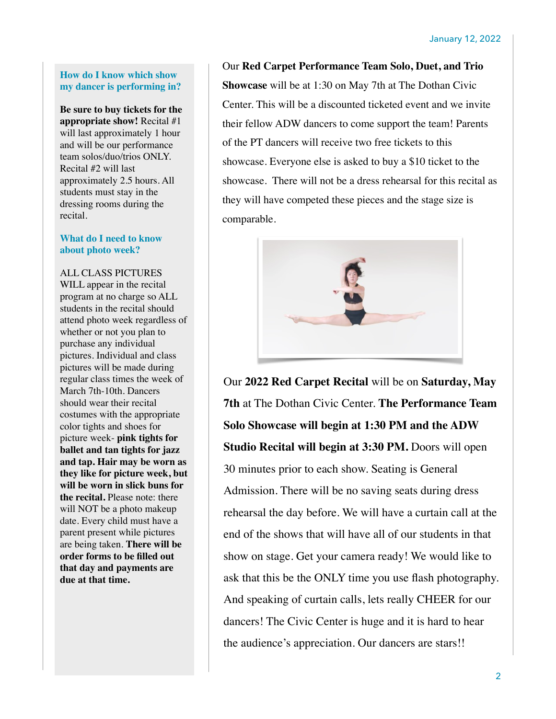#### **How do I know which show my dancer is performing in?**

**Be sure to buy tickets for the appropriate show!** Recital #1 will last approximately 1 hour and will be our performance team solos/duo/trios ONLY. Recital #2 will last approximately 2.5 hours. All students must stay in the dressing rooms during the recital.

#### **What do I need to know about photo week?**

ALL CLASS PICTURES WILL appear in the recital program at no charge so ALL students in the recital should attend photo week regardless of whether or not you plan to purchase any individual pictures. Individual and class pictures will be made during regular class times the week of March 7th-10th. Dancers should wear their recital costumes with the appropriate color tights and shoes for picture week- **pink tights for ballet and tan tights for jazz and tap. Hair may be worn as they like for picture week, but will be worn in slick buns for the recital.** Please note: there will NOT be a photo makeup date. Every child must have a parent present while pictures are being taken. **There will be order forms to be filled out that day and payments are due at that time.**

Our **Red Carpet Performance Team Solo, Duet, and Trio Showcase** will be at 1:30 on May 7th at The Dothan Civic Center. This will be a discounted ticketed event and we invite their fellow ADW dancers to come support the team! Parents of the PT dancers will receive two free tickets to this showcase. Everyone else is asked to buy a \$10 ticket to the showcase. There will not be a dress rehearsal for this recital as they will have competed these pieces and the stage size is comparable.



Our **2022 Red Carpet Recital** will be on **Saturday, May 7th** at The Dothan Civic Center. **The Performance Team Solo Showcase will begin at 1:30 PM and the ADW Studio Recital will begin at 3:30 PM.** Doors will open 30 minutes prior to each show. Seating is General Admission. There will be no saving seats during dress rehearsal the day before. We will have a curtain call at the end of the shows that will have all of our students in that show on stage. Get your camera ready! We would like to ask that this be the ONLY time you use flash photography. And speaking of curtain calls, lets really CHEER for our dancers! The Civic Center is huge and it is hard to hear the audience's appreciation. Our dancers are stars!!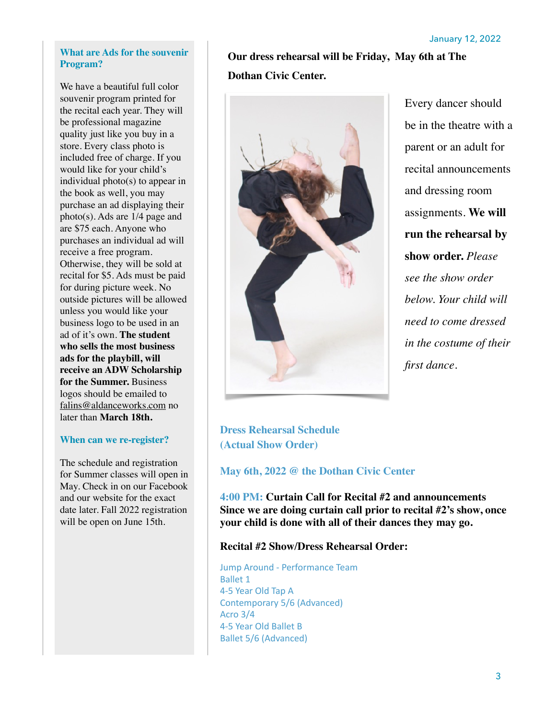#### **What are Ads for the souvenir Program?**

We have a beautiful full color souvenir program printed for the recital each year. They will be professional magazine quality just like you buy in a store. Every class photo is included free of charge. If you would like for your child's individual photo(s) to appear in the book as well, you may purchase an ad displaying their photo(s). Ads are 1/4 page and are \$75 each. Anyone who purchases an individual ad will receive a free program. Otherwise, they will be sold at recital for \$5. Ads must be paid for during picture week. No outside pictures will be allowed unless you would like your business logo to be used in an ad of it's own. **The student who sells the most business ads for the playbill, will receive an ADW Scholarship for the Summer.** Business logos should be emailed to [falins@aldanceworks.com](mailto:falins@aldanceworks.com) no later than **March 18th.** 

#### **When can we re-register?**

The schedule and registration for Summer classes will open in May. Check in on our Facebook and our website for the exact date later. Fall 2022 registration will be open on June 15th.

**Our dress rehearsal will be Friday, May 6th at The Dothan Civic Center.** 



Every dancer should be in the theatre with a parent or an adult for recital announcements and dressing room assignments. **We will run the rehearsal by show order.** *Please see the show order below. Your child will need to come dressed in the costume of their first dance.*

**Dress Rehearsal Schedule (Actual Show Order)** 

**May 6th, 2022 @ the Dothan Civic Center** 

**4:00 PM: Curtain Call for Recital #2 and announcements Since we are doing curtain call prior to recital #2's show, once your child is done with all of their dances they may go.** 

#### **Recital #2 Show/Dress Rehearsal Order:**

Jump Around - Performance Team Ballet 1 4-5 Year Old Tap A Contemporary 5/6 (Advanced) Acro 3/4 4-5 Year Old Ballet B Ballet 5/6 (Advanced)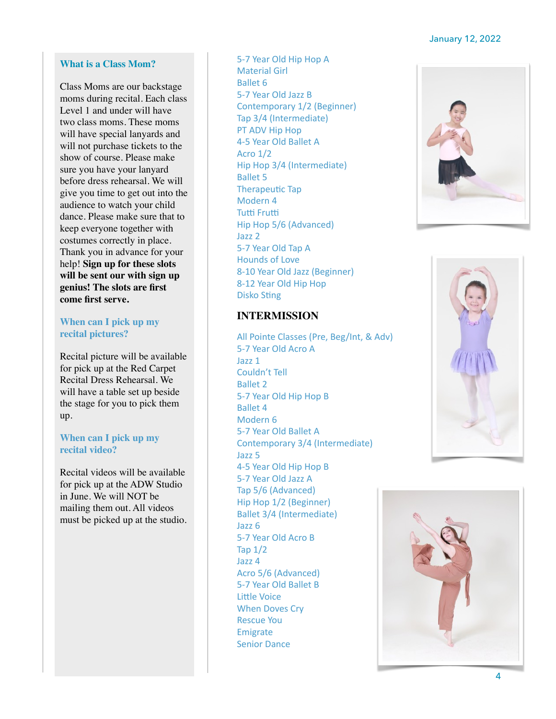#### January 12, 2022

#### **What is a Class Mom?**

Class Moms are our backstage moms during recital. Each class Level 1 and under will have two class moms. These moms will have special lanyards and will not purchase tickets to the show of course. Please make sure you have your lanyard before dress rehearsal. We will give you time to get out into the audience to watch your child dance. Please make sure that to keep everyone together with costumes correctly in place. Thank you in advance for your help! **Sign up for these slots will be sent our with sign up genius! The slots are first come first serve.**

#### **When can I pick up my recital pictures?**

Recital picture will be available for pick up at the Red Carpet Recital Dress Rehearsal. We will have a table set up beside the stage for you to pick them up.

#### **When can I pick up my recital video?**

Recital videos will be available for pick up at the ADW Studio in June. We will NOT be mailing them out. All videos must be picked up at the studio.

5-7 Year Old Hip Hop A Material Girl Ballet 6 5-7 Year Old Jazz B Contemporary 1/2 (Beginner) Tap 3/4 (Intermediate) PT ADV Hip Hop 4-5 Year Old Ballet A Acro 1/2 Hip Hop 3/4 (Intermediate) Ballet 5 Therapeutic Tap Modern 4 Tutti Frutti Hip Hop 5/6 (Advanced) Jazz 2 5-7 Year Old Tap A Hounds of Love 8-10 Year Old Jazz (Beginner) 8-12 Year Old Hip Hop Disko Sting

#### **INTERMISSION**

All Pointe Classes (Pre, Beg/Int, & Adv) 5-7 Year Old Acro A Jazz 1 Couldn't Tell Ballet 2 5-7 Year Old Hip Hop B Ballet 4 Modern 6 5-7 Year Old Ballet A Contemporary 3/4 (Intermediate) Jazz 5 4-5 Year Old Hip Hop B 5-7 Year Old Jazz A Tap 5/6 (Advanced) Hip Hop 1/2 (Beginner) Ballet 3/4 (Intermediate) Jazz 6 5-7 Year Old Acro B Tap 1/2 Jazz 4 Acro 5/6 (Advanced) 5-7 Year Old Ballet B Little Voice When Doves Cry Rescue You Emigrate Senior Dance